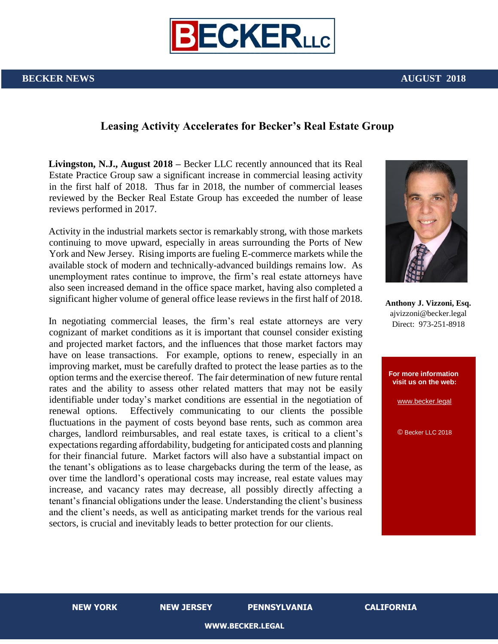

## **Leasing Activity Accelerates for Becker's Real Estate Group**

**Livingston, N.J., August 2018 –** Becker LLC recently announced that its Real Estate Practice Group saw a significant increase in commercial leasing activity in the first half of 2018. Thus far in 2018, the number of commercial leases reviewed by the Becker Real Estate Group has exceeded the number of lease reviews performed in 2017.

Activity in the industrial markets sector is remarkably strong, with those markets continuing to move upward, especially in areas surrounding the Ports of New York and New Jersey. Rising imports are fueling E-commerce markets while the available stock of modern and technically-advanced buildings remains low. As unemployment rates continue to improve, the firm's real estate attorneys have also seen increased demand in the office space market, having also completed a significant higher volume of general office lease reviews in the first half of 2018.

In negotiating commercial leases, the firm's real estate attorneys are very cognizant of market conditions as it is important that counsel consider existing and projected market factors, and the influences that those market factors may have on lease transactions. For example, options to renew, especially in an improving market, must be carefully drafted to protect the lease parties as to the option terms and the exercise thereof. The fair determination of new future rental rates and the ability to assess other related matters that may not be easily identifiable under today's market conditions are essential in the negotiation of renewal options. Effectively communicating to our clients the possible fluctuations in the payment of costs beyond base rents, such as common area charges, landlord reimbursables, and real estate taxes, is critical to a client's expectations regarding affordability, budgeting for anticipated costs and planning for their financial future. Market factors will also have a substantial impact on the tenant's obligations as to lease chargebacks during the term of the lease, as over time the landlord's operational costs may increase, real estate values may increase, and vacancy rates may decrease, all possibly directly affecting a tenant's financial obligations under the lease. Understanding the client's business and the client's needs, as well as anticipating market trends for the various real sectors, is crucial and inevitably leads to better protection for our clients.



**Anthony J. Vizzoni, Esq.**  ajvizzoni@becker.legal Direct: 973-251-8918



**NEW YORK NEW JERSEY PENNSYLVANIA CALIFORNIA**